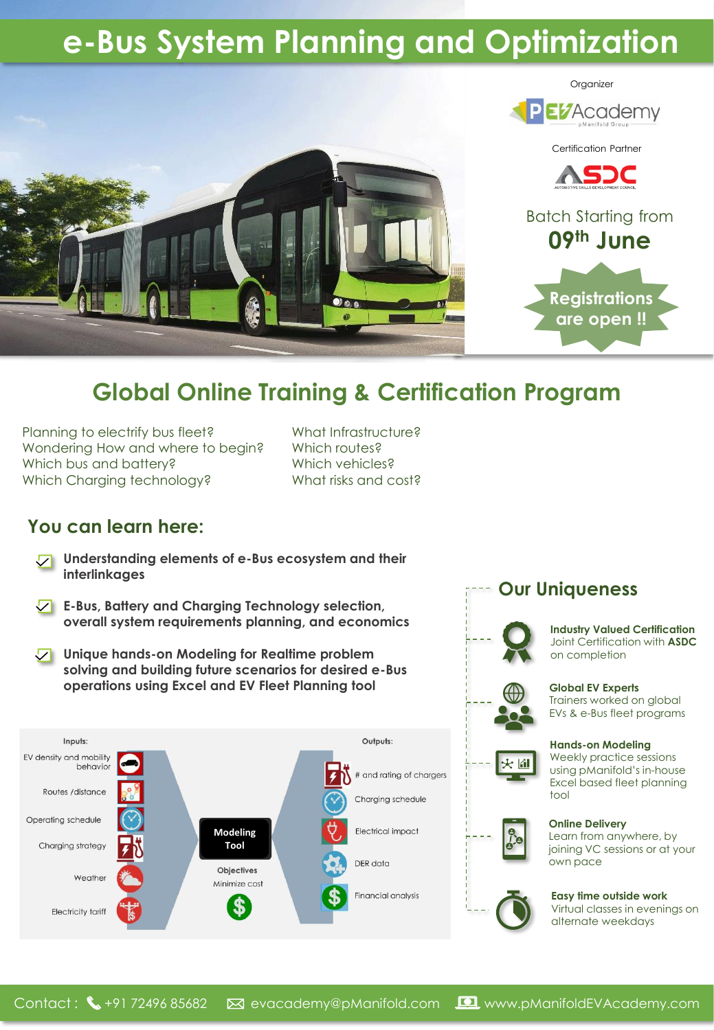# **e-Bus System Planning and Optimization**



## **Global Online Training & Certification Program**

Planning to electrify bus fleet? Wondering How and where to begin? Which bus and battery? Which Charging technology?

What Infrastructure? Which routes? Which vehicles? What risks and cost?

### **You can learn here:**

- **Understanding elements of e-Bus ecosystem and their interlinkages**
- **E-Bus, Battery and Charging Technology selection, overall system requirements planning, and economics**
- **Unique hands-on Modeling for Realtime problem solving and building future scenarios for desired e-Bus operations using Excel and EV Fleet Planning tool**



### **Our Uniqueness**



#### **Industry Valued Certification** Joint Certification with **ASDC** on completion



**Global EV Experts** Trainers worked on global EVs & e-Bus fleet programs



**Hands-on Modeling** Weekly practice sessions using pManifold's in-house Excel based fleet planning tool



### **Online Delivery** Learn from anywhere, by

joining VC sessions or at your own pace



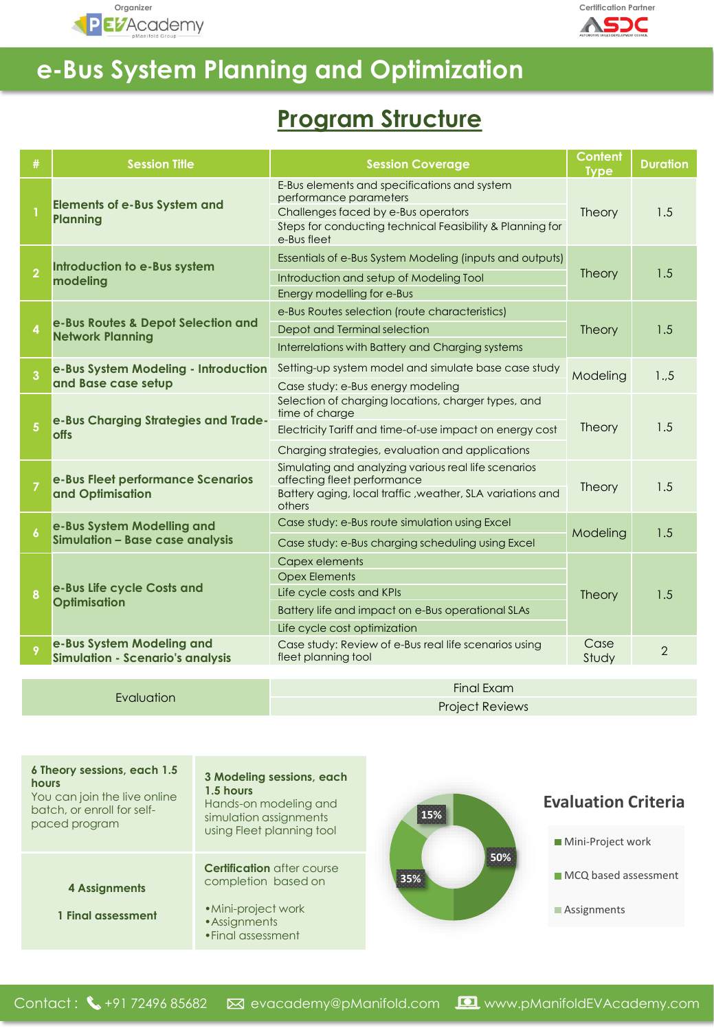



## **e-Bus System Planning and Optimization**

### **Program Structure**

| #                 | <b>Session Title</b>                                                 | <b>Session Coverage</b>                                                                                                                                                                   | <b>Content</b><br><b>Type</b> | <b>Duration</b> |
|-------------------|----------------------------------------------------------------------|-------------------------------------------------------------------------------------------------------------------------------------------------------------------------------------------|-------------------------------|-----------------|
|                   | <b>Elements of e-Bus System and</b><br><b>Planning</b>               | E-Bus elements and specifications and system<br>performance parameters<br>Challenges faced by e-Bus operators<br>Steps for conducting technical Feasibility & Planning for<br>e-Bus fleet | <b>Theory</b>                 | 1.5             |
| $\overline{2}$    | Introduction to e-Bus system<br>modelina                             | Essentials of e-Bus System Modeling (inputs and outputs)<br>Introduction and setup of Modeling Tool<br>Energy modelling for e-Bus                                                         | <b>Theory</b>                 | 1.5             |
| $\overline{a}$    | e-Bus Routes & Depot Selection and<br><b>Network Planning</b>        | e-Bus Routes selection (route characteristics)<br>Depot and Terminal selection<br>Interrelations with Battery and Charging systems                                                        | Theory                        | 1.5             |
| 3                 | e-Bus System Modeling - Introduction<br>and Base case setup          | Setting-up system model and simulate base case study<br>Case study: e-Bus energy modeling                                                                                                 | Modeling                      | 15              |
| $\overline{5}$    | e-Bus Charging Strategies and Trade-<br><b>offs</b>                  | Selection of charging locations, charger types, and<br>time of charge<br>Electricity Tariff and time-of-use impact on energy cost<br>Charging strategies, evaluation and applications     | Theory                        | 1.5             |
| $\overline{7}$    | e-Bus Fleet performance Scenarios<br>and Optimisation                | Simulating and analyzing various real life scenarios<br>affecting fleet performance<br>Battery aging, local traffic, weather, SLA variations and<br>others                                | <b>Theory</b>                 | 1.5             |
| $\boldsymbol{6}$  | e-Bus System Modelling and<br>Simulation - Base case analysis        | Case study: e-Bus route simulation using Excel<br>Case study: e-Bus charging scheduling using Excel                                                                                       | Modeling                      | 1.5             |
| 8                 | e-Bus Life cycle Costs and<br><b>Optimisation</b>                    | Capex elements<br><b>Opex Elements</b><br>Life cycle costs and KPIs<br>Battery life and impact on e-Bus operational SLAs<br>Life cycle cost optimization                                  | <b>Theory</b>                 | 1.5             |
| 9                 | e-Bus System Modeling and<br><b>Simulation - Scenario's analysis</b> | Case study: Review of e-Bus real life scenarios using<br>fleet planning tool                                                                                                              | Case<br>Study                 | $\overline{2}$  |
| <b>Final Exam</b> |                                                                      |                                                                                                                                                                                           |                               |                 |

Evaluation

Project Reviews